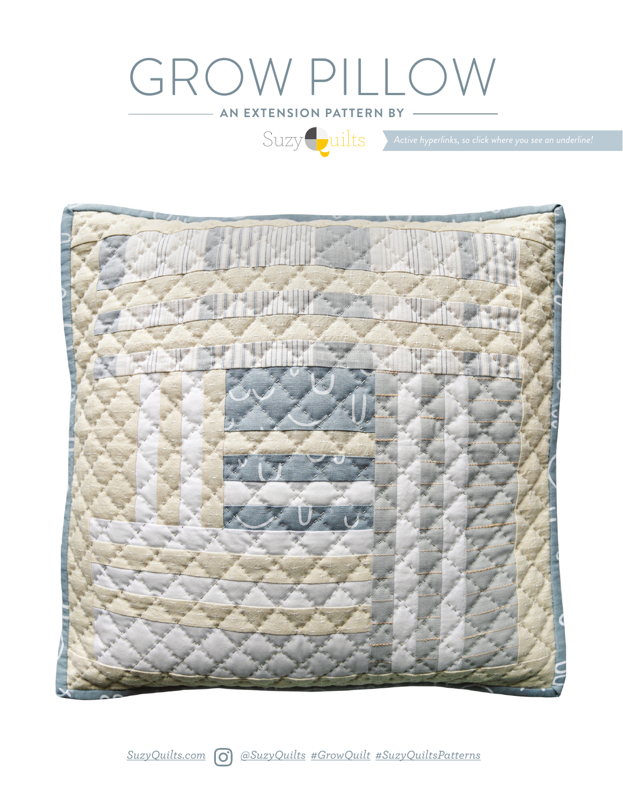# GROW PILLOW

**AN EXTENSION PATTERN BY**

 $\text{Suzzy } \text{ units}$  Active hyperlinks, so click where you see an underline!

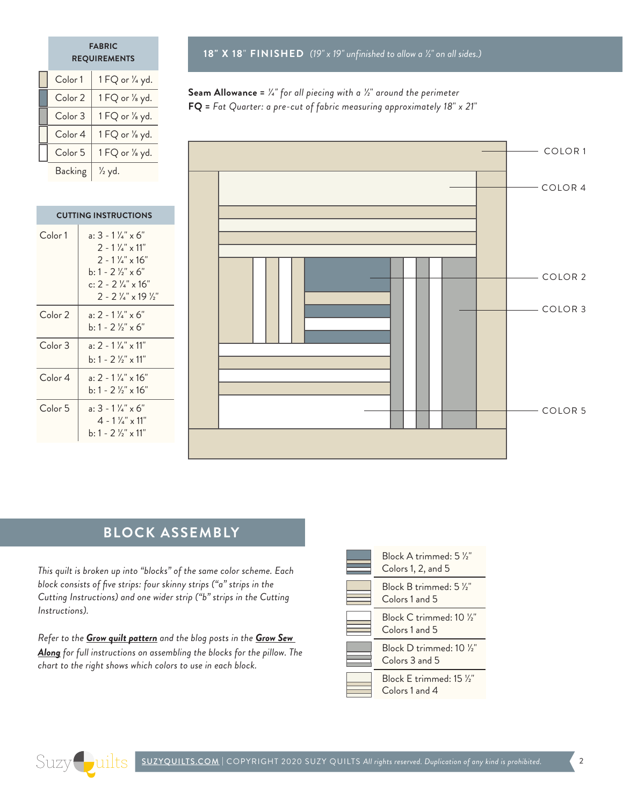#### **FABRIC REQUIREMENTS**

| Color 1            | 1 FQ or 1/4 yd.   |
|--------------------|-------------------|
| Color <sub>2</sub> | 1 FQ or 1/8 yd.   |
| Color <sub>3</sub> | 1 FQ or 1/8 yd.   |
| Color 4            | 1 FQ or 1/8 yd.   |
| Color 5            | 1 FQ or 1/8 yd.   |
| Backing            | $\frac{1}{2}$ yd. |

Color 1  $\vert$  a: 3 - 1  $\frac{1}{4}$ " x 6"

**CUTTING INSTRUCTIONS**

Color 2  $|$  a: 2 - 1  $\frac{1}{4}$ " x 6"

Color  $3 \mid a: 2 - 1 \frac{1}{4} x 11$ "

Color 4  $\vert$  a: 2 - 1  $\frac{1}{4}$ " x 16"

Color 5  $a: 3 - 1\frac{1}{4}x + 6$ "

 $2 - 1$   $\frac{1}{4}$ " x 11"  $2 - 1$   $\frac{1}{4}$ " x 16" b:  $1 - 2 \frac{1}{2} x^2 \times 6$ " c:  $2 - 2$   $\frac{1}{4}$ " x 16" 2 - 2 1/4" x 19 1/2"

b:  $1 - 2 \frac{1}{2} x x 6$ "

b:  $1 - 2 \frac{1}{2}$ " x 11"

 $b: 1 - 2 \frac{1}{2} x 16$ "

 $4 - 1$   $\frac{1}{4}$ " x 11" b: 1 - 2  $\frac{1}{2}$ " x 11" **18" X 18**" **FINISHED** *(19" x 19" unfinished to allow a 1/2" on all sides.)*

### **Seam Allowance =** *1/4" for all piecing with a 1/2*" *around the perimeter* **FQ =** *Fat Quarter: a pre-cut of fabric measuring approximately 18*" *x 21*"



# **BLOCK ASSEMBLY**

*This quilt is broken up into "blocks" of the same color scheme. Each block consists of five strips: four skinny strips ("a" strips in the Cutting Instructions) and one wider strip ("b" strips in the Cutting Instructions).*

*Refer to the [Grow quilt pattern](https://suzyquilts.com/shop/grow-quilt-pattern-download/) and the blog posts in the [Grow Sew](https://suzyquilts.com/grow-sew-along-weeks-3-4-sewing-blocks/)  [Along](https://suzyquilts.com/grow-sew-along-weeks-3-4-sewing-blocks/) for full instructions on assembling the blocks for the pillow. The chart to the right shows which colors to use in each block.*



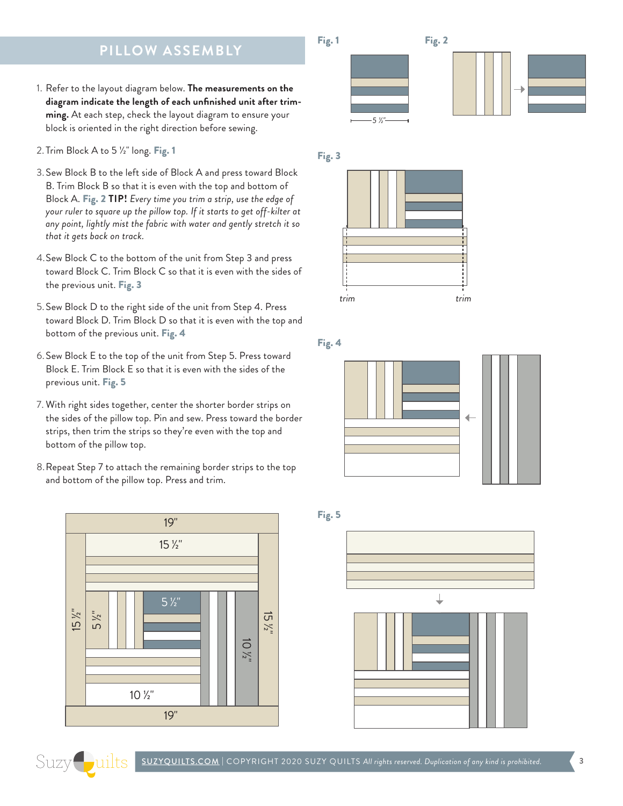## **PILLOW ASSEMBLY**

- 1. Refer to the layout diagram below. **The measurements on the diagram indicate the length of each unfinished unit after trimming.** At each step, check the layout diagram to ensure your block is oriented in the right direction before sewing.
- 2. Trim Block A to 5 1/2" long. Fig. 1
- 3.Sew Block B to the left side of Block A and press toward Block B. Trim Block B so that it is even with the top and bottom of Block A. Fig. 2 **TIP!** *Every time you trim a strip, use the edge of your ruler to square up the pillow top. If it starts to get off-kilter at any point, lightly mist the fabric with water and gently stretch it so that it gets back on track.*
- 4.Sew Block C to the bottom of the unit from Step 3 and press toward Block C. Trim Block C so that it is even with the sides of the previous unit. Fig. 3
- 5.Sew Block D to the right side of the unit from Step 4. Press toward Block D. Trim Block D so that it is even with the top and bottom of the previous unit. Fig. 4
- 6.Sew Block E to the top of the unit from Step 5. Press toward Block E. Trim Block E so that it is even with the sides of the previous unit. Fig. 5
- 7. With right sides together, center the shorter border strips on the sides of the pillow top. Pin and sew. Press toward the border strips, then trim the strips so they're even with the top and bottom of the pillow top.
- 8.Repeat Step 7 to attach the remaining border strips to the top and bottom of the pillow top. Press and trim.









Fig. 4